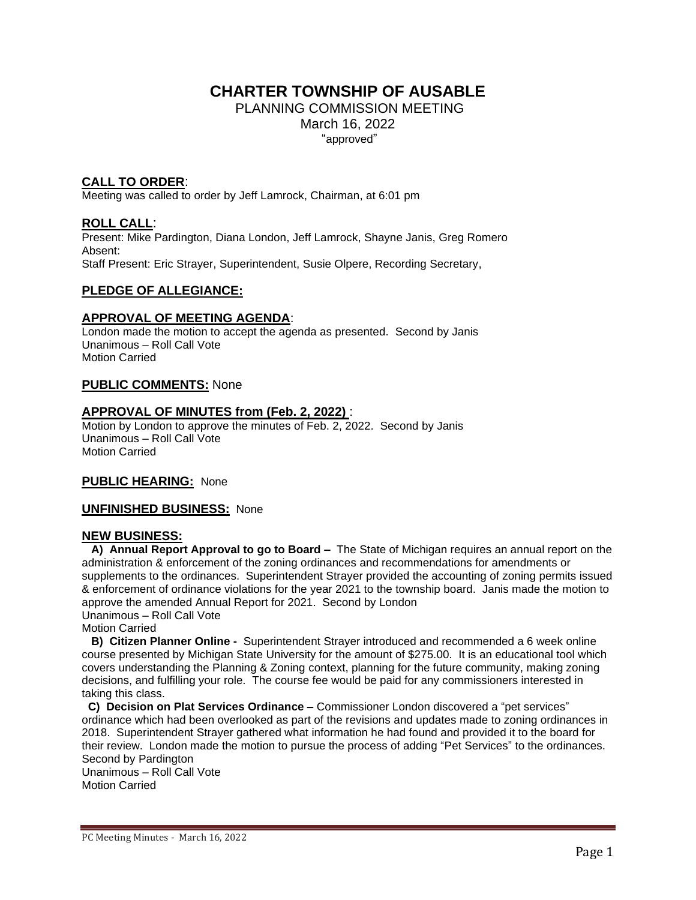# **CHARTER TOWNSHIP OF AUSABLE**

PLANNING COMMISSION MEETING March 16, 2022 "approved"

# **CALL TO ORDER**:

Meeting was called to order by Jeff Lamrock, Chairman, at 6:01 pm

## **ROLL CALL**:

Present: Mike Pardington, Diana London, Jeff Lamrock, Shayne Janis, Greg Romero Absent: Staff Present: Eric Strayer, Superintendent, Susie Olpere, Recording Secretary,

## **PLEDGE OF ALLEGIANCE:**

### **APPROVAL OF MEETING AGENDA**:

London made the motion to accept the agenda as presented. Second by Janis Unanimous – Roll Call Vote Motion Carried

### **PUBLIC COMMENTS:** None

## **APPROVAL OF MINUTES from (Feb. 2, 2022)** :

Motion by London to approve the minutes of Feb. 2, 2022. Second by Janis Unanimous – Roll Call Vote Motion Carried

#### **PUBLIC HEARING:** None

#### **UNFINISHED BUSINESS:** None

#### **NEW BUSINESS:**

 **A) Annual Report Approval to go to Board –** The State of Michigan requires an annual report on the administration & enforcement of the zoning ordinances and recommendations for amendments or supplements to the ordinances. Superintendent Strayer provided the accounting of zoning permits issued & enforcement of ordinance violations for the year 2021 to the township board. Janis made the motion to approve the amended Annual Report for 2021. Second by London Unanimous – Roll Call Vote

Motion Carried

 **B) Citizen Planner Online -** Superintendent Strayer introduced and recommended a 6 week online course presented by Michigan State University for the amount of \$275.00. It is an educational tool which covers understanding the Planning & Zoning context, planning for the future community, making zoning decisions, and fulfilling your role. The course fee would be paid for any commissioners interested in taking this class.

 **C) Decision on Plat Services Ordinance –** Commissioner London discovered a "pet services" ordinance which had been overlooked as part of the revisions and updates made to zoning ordinances in 2018. Superintendent Strayer gathered what information he had found and provided it to the board for their review. London made the motion to pursue the process of adding "Pet Services" to the ordinances. Second by Pardington

Unanimous – Roll Call Vote Motion Carried